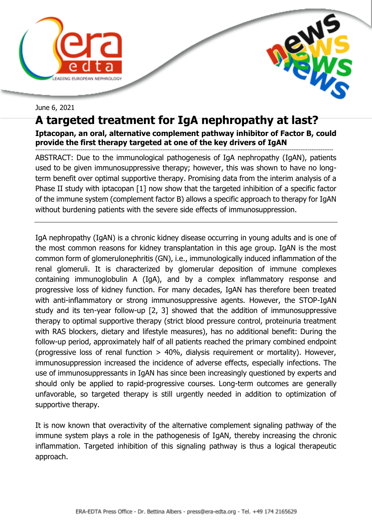



## June 6, 2021

## **A targeted treatment for IgA nephropathy at last?**

**Iptacopan, an oral, alternative complement pathway inhibitor of Factor B, could provide the first therapy targeted at one of the key drivers of IgAN** 

-------------------------------------------------------------------------------------------------------------------------------------------------------------------- ABSTRACT: Due to the immunological pathogenesis of IgA nephropathy (IgAN), patients used to be given immunosuppressive therapy; however, this was shown to have no longterm benefit over optimal supportive therapy. Promising data from the interim analysis of a Phase II study with iptacopan [1] now show that the targeted inhibition of a specific factor of the immune system (complement factor B) allows a specific approach to therapy for IgAN without burdening patients with the severe side effects of immunosuppression.

IgA nephropathy (IgAN) is a chronic kidney disease occurring in young adults and is one of the most common reasons for kidney transplantation in this age group. IgAN is the most common form of glomerulonephritis (GN), i.e., immunologically induced inflammation of the renal glomeruli. It is characterized by glomerular deposition of immune complexes containing immunoglobulin A (IgA), and by a complex inflammatory response and progressive loss of kidney function. For many decades, IgAN has therefore been treated with anti-inflammatory or strong immunosuppressive agents. However, the STOP-IgAN study and its ten-year follow-up [2, 3] showed that the addition of immunosuppressive therapy to optimal supportive therapy (strict blood pressure control, proteinuria treatment with RAS blockers, dietary and lifestyle measures), has no additional benefit: During the follow-up period, approximately half of all patients reached the primary combined endpoint (progressive loss of renal function > 40%, dialysis requirement or mortality). However, immunosuppression increased the incidence of adverse effects, especially infections. The use of immunosuppressants in IgAN has since been increasingly questioned by experts and should only be applied to rapid-progressive courses. Long-term outcomes are generally unfavorable, so targeted therapy is still urgently needed in addition to optimization of supportive therapy.

It is now known that overactivity of the alternative complement signaling pathway of the immune system plays a role in the pathogenesis of IgAN, thereby increasing the chronic inflammation. Targeted inhibition of this signaling pathway is thus a logical therapeutic approach.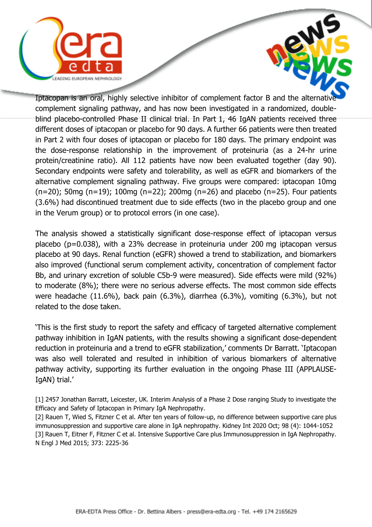

Iptacopan is an oral, highly selective inhibitor of complement factor B and the alternative complement signaling pathway, and has now been investigated in a randomized, doubleblind placebo-controlled Phase II clinical trial. In Part 1, 46 IgAN patients received three different doses of iptacopan or placebo for 90 days. A further 66 patients were then treated in Part 2 with four doses of iptacopan or placebo for 180 days. The primary endpoint was the dose-response relationship in the improvement of proteinuria (as a 24-hr urine protein/creatinine ratio). All 112 patients have now been evaluated together (day 90). Secondary endpoints were safety and tolerability, as well as eGFR and biomarkers of the alternative complement signaling pathway. Five groups were compared: iptacopan 10mg (n=20); 50mg (n=19); 100mg (n=22); 200mg (n=26) and placebo (n=25). Four patients (3.6%) had discontinued treatment due to side effects (two in the placebo group and one in the Verum group) or to protocol errors (in one case).

The analysis showed a statistically significant dose-response effect of iptacopan versus placebo (p=0.038), with a 23% decrease in proteinuria under 200 mg iptacopan versus placebo at 90 days. Renal function (eGFR) showed a trend to stabilization, and biomarkers also improved (functional serum complement activity, concentration of complement factor Bb, and urinary excretion of soluble C5b-9 were measured). Side effects were mild (92%) to moderate (8%); there were no serious adverse effects. The most common side effects were headache (11.6%), back pain (6.3%), diarrhea (6.3%), vomiting (6.3%), but not related to the dose taken.

'This is the first study to report the safety and efficacy of targeted alternative complement pathway inhibition in IgAN patients, with the results showing a significant dose-dependent reduction in proteinuria and a trend to eGFR stabilization,' comments Dr Barratt. 'Iptacopan was also well tolerated and resulted in inhibition of various biomarkers of alternative pathway activity, supporting its further evaluation in the ongoing Phase III (APPLAUSE-IgAN) trial.'

[1] 2457 Jonathan Barratt, Leicester, UK. Interim Analysis of a Phase 2 Dose ranging Study to investigate the Efficacy and Safety of Iptacopan in Primary IgA Nephropathy.

[2] Rauen T, Wied S, Fitzner C et al. After ten years of follow-up, no difference between supportive care plus immunosuppression and supportive care alone in IgA nephropathy. Kidney Int 2020 Oct; 98 (4): 1044-1052 [3] Rauen T, Eitner F, Fitzner C et al. Intensive Supportive Care plus Immunosuppression in IgA Nephropathy. N Engl J Med 2015; 373: 2225-36